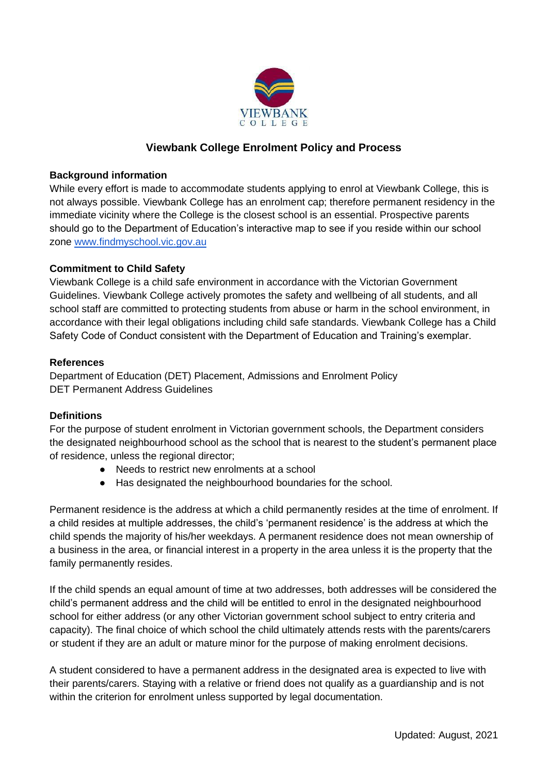

# **Viewbank College Enrolment Policy and Process**

### **Background information**

While every effort is made to accommodate students applying to enrol at Viewbank College, this is not always possible. Viewbank College has an enrolment cap; therefore permanent residency in the immediate vicinity where the College is the closest school is an essential. Prospective parents should go to the Department of Education's interactive map to see if you reside within our school zone [www.findmyschool.vic.gov.au](http://www.findmyschool.vic.gov.au/)

### **Commitment to Child Safety**

Viewbank College is a child safe environment in accordance with the Victorian Government Guidelines. Viewbank College actively promotes the safety and wellbeing of all students, and all school staff are committed to protecting students from abuse or harm in the school environment, in accordance with their legal obligations including child safe standards. Viewbank College has a Child Safety Code of Conduct consistent with the Department of Education and Training's exemplar.

#### **References**

Department of Education (DET) Placement, Admissions and Enrolment Policy DET Permanent Address Guidelines

### **Definitions**

For the purpose of student enrolment in Victorian government schools, the Department considers the designated neighbourhood school as the school that is nearest to the student's permanent place of residence, unless the regional director;

- Needs to restrict new enrolments at a school
- Has designated the neighbourhood boundaries for the school.

Permanent residence is the address at which a child permanently resides at the time of enrolment. If a child resides at multiple addresses, the child's 'permanent residence' is the address at which the child spends the majority of his/her weekdays. A permanent residence does not mean ownership of a business in the area, or financial interest in a property in the area unless it is the property that the family permanently resides.

If the child spends an equal amount of time at two addresses, both addresses will be considered the child's permanent address and the child will be entitled to enrol in the designated neighbourhood school for either address (or any other Victorian government school subject to entry criteria and capacity). The final choice of which school the child ultimately attends rests with the parents/carers or student if they are an adult or mature minor for the purpose of making enrolment decisions.

A student considered to have a permanent address in the designated area is expected to live with their parents/carers. Staying with a relative or friend does not qualify as a guardianship and is not within the criterion for enrolment unless supported by legal documentation.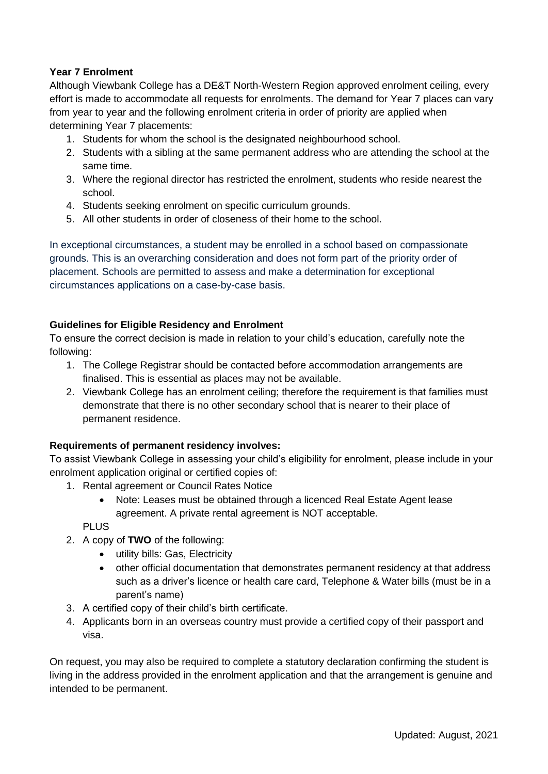### **Year 7 Enrolment**

Although Viewbank College has a DE&T North-Western Region approved enrolment ceiling, every effort is made to accommodate all requests for enrolments. The demand for Year 7 places can vary from year to year and the following enrolment criteria in order of priority are applied when determining Year 7 placements:

- 1. Students for whom the school is the designated neighbourhood school.
- 2. Students with a sibling at the same permanent address who are attending the school at the same time.
- 3. Where the regional director has restricted the enrolment, students who reside nearest the school.
- 4. Students seeking enrolment on specific curriculum grounds.
- 5. All other students in order of closeness of their home to the school.

In exceptional circumstances, a student may be enrolled in a school based on compassionate grounds. This is an overarching consideration and does not form part of the priority order of placement. Schools are permitted to assess and make a determination for exceptional circumstances applications on a case-by-case basis.

### **Guidelines for Eligible Residency and Enrolment**

To ensure the correct decision is made in relation to your child's education, carefully note the following:

- 1. The College Registrar should be contacted before accommodation arrangements are finalised. This is essential as places may not be available.
- 2. Viewbank College has an enrolment ceiling; therefore the requirement is that families must demonstrate that there is no other secondary school that is nearer to their place of permanent residence.

### **Requirements of permanent residency involves:**

To assist Viewbank College in assessing your child's eligibility for enrolment, please include in your enrolment application original or certified copies of:

- 1. Rental agreement or Council Rates Notice
	- Note: Leases must be obtained through a licenced Real Estate Agent lease agreement. A private rental agreement is NOT acceptable.

**PLUS** 

- 2. A copy of **TWO** of the following:
	- utility bills: Gas, Electricity
	- other official documentation that demonstrates permanent residency at that address such as a driver's licence or health care card, Telephone & Water bills (must be in a parent's name)
- 3. A certified copy of their child's birth certificate.
- 4. Applicants born in an overseas country must provide a certified copy of their passport and visa.

On request, you may also be required to complete a statutory declaration confirming the student is living in the address provided in the enrolment application and that the arrangement is genuine and intended to be permanent.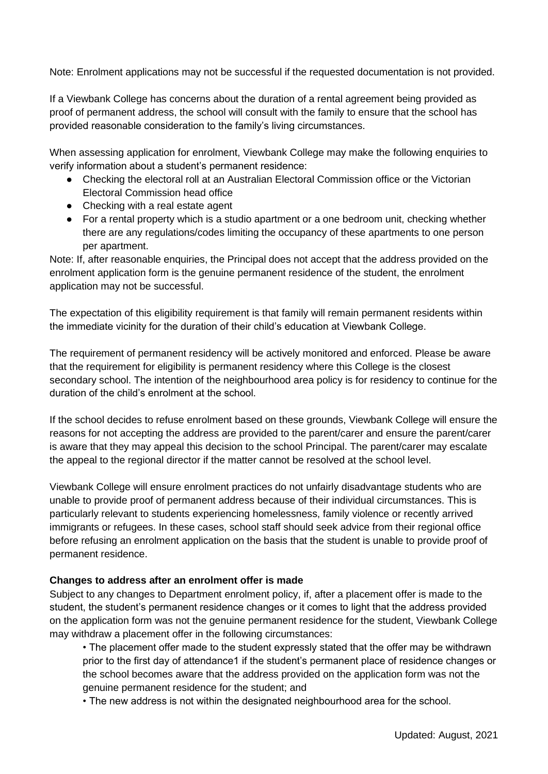Note: Enrolment applications may not be successful if the requested documentation is not provided.

If a Viewbank College has concerns about the duration of a rental agreement being provided as proof of permanent address, the school will consult with the family to ensure that the school has provided reasonable consideration to the family's living circumstances.

When assessing application for enrolment, Viewbank College may make the following enquiries to verify information about a student's permanent residence:

- Checking the electoral roll at an Australian Electoral Commission office or the Victorian Electoral Commission head office
- Checking with a real estate agent
- For a rental property which is a studio apartment or a one bedroom unit, checking whether there are any regulations/codes limiting the occupancy of these apartments to one person per apartment.

Note: If, after reasonable enquiries, the Principal does not accept that the address provided on the enrolment application form is the genuine permanent residence of the student, the enrolment application may not be successful.

The expectation of this eligibility requirement is that family will remain permanent residents within the immediate vicinity for the duration of their child's education at Viewbank College.

The requirement of permanent residency will be actively monitored and enforced. Please be aware that the requirement for eligibility is permanent residency where this College is the closest secondary school. The intention of the neighbourhood area policy is for residency to continue for the duration of the child's enrolment at the school.

If the school decides to refuse enrolment based on these grounds, Viewbank College will ensure the reasons for not accepting the address are provided to the parent/carer and ensure the parent/carer is aware that they may appeal this decision to the school Principal. The parent/carer may escalate the appeal to the regional director if the matter cannot be resolved at the school level.

Viewbank College will ensure enrolment practices do not unfairly disadvantage students who are unable to provide proof of permanent address because of their individual circumstances. This is particularly relevant to students experiencing homelessness, family violence or recently arrived immigrants or refugees. In these cases, school staff should seek advice from their regional office before refusing an enrolment application on the basis that the student is unable to provide proof of permanent residence.

### **Changes to address after an enrolment offer is made**

Subject to any changes to Department enrolment policy, if, after a placement offer is made to the student, the student's permanent residence changes or it comes to light that the address provided on the application form was not the genuine permanent residence for the student, Viewbank College may withdraw a placement offer in the following circumstances:

• The placement offer made to the student expressly stated that the offer may be withdrawn prior to the first day of attendance1 if the student's permanent place of residence changes or the school becomes aware that the address provided on the application form was not the genuine permanent residence for the student; and

• The new address is not within the designated neighbourhood area for the school.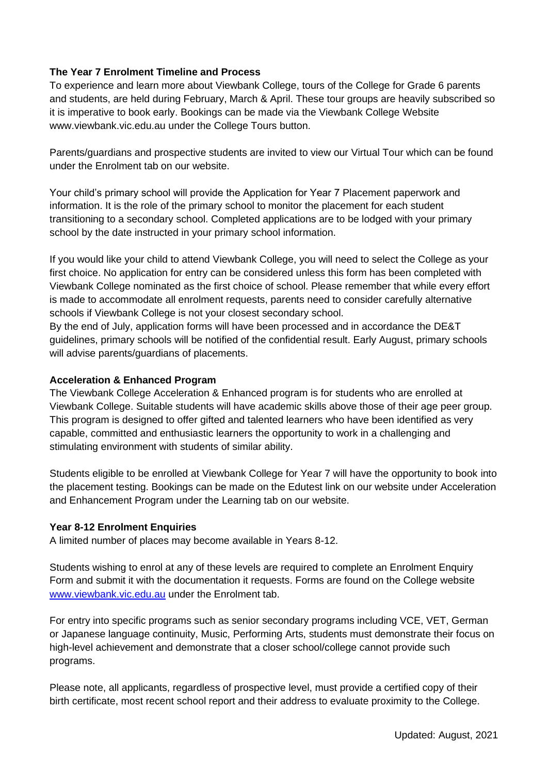### **The Year 7 Enrolment Timeline and Process**

To experience and learn more about Viewbank College, tours of the College for Grade 6 parents and students, are held during February, March & April. These tour groups are heavily subscribed so it is imperative to book early. Bookings can be made via the Viewbank College Website www.viewbank.vic.edu.au under the College Tours button.

Parents/guardians and prospective students are invited to view our Virtual Tour which can be found under the Enrolment tab on our website.

Your child's primary school will provide the Application for Year 7 Placement paperwork and information. It is the role of the primary school to monitor the placement for each student transitioning to a secondary school. Completed applications are to be lodged with your primary school by the date instructed in your primary school information.

If you would like your child to attend Viewbank College, you will need to select the College as your first choice. No application for entry can be considered unless this form has been completed with Viewbank College nominated as the first choice of school. Please remember that while every effort is made to accommodate all enrolment requests, parents need to consider carefully alternative schools if Viewbank College is not your closest secondary school.

By the end of July, application forms will have been processed and in accordance the DE&T guidelines, primary schools will be notified of the confidential result. Early August, primary schools will advise parents/guardians of placements.

### **Acceleration & Enhanced Program**

The Viewbank College Acceleration & Enhanced program is for students who are enrolled at Viewbank College. Suitable students will have academic skills above those of their age peer group. This program is designed to offer gifted and talented learners who have been identified as very capable, committed and enthusiastic learners the opportunity to work in a challenging and stimulating environment with students of similar ability.

Students eligible to be enrolled at Viewbank College for Year 7 will have the opportunity to book into the placement testing. Bookings can be made on the Edutest link on our website under Acceleration and Enhancement Program under the Learning tab on our website.

## **Year 8-12 Enrolment Enquiries**

A limited number of places may become available in Years 8-12.

Students wishing to enrol at any of these levels are required to complete an Enrolment Enquiry Form and submit it with the documentation it requests. Forms are found on the College website [www.viewbank.vic.edu.au](http://www.viewbank.vic.edu.au/) under the Enrolment tab.

For entry into specific programs such as senior secondary programs including VCE, VET, German or Japanese language continuity, Music, Performing Arts, students must demonstrate their focus on high-level achievement and demonstrate that a closer school/college cannot provide such programs.

Please note, all applicants, regardless of prospective level, must provide a certified copy of their birth certificate, most recent school report and their address to evaluate proximity to the College.